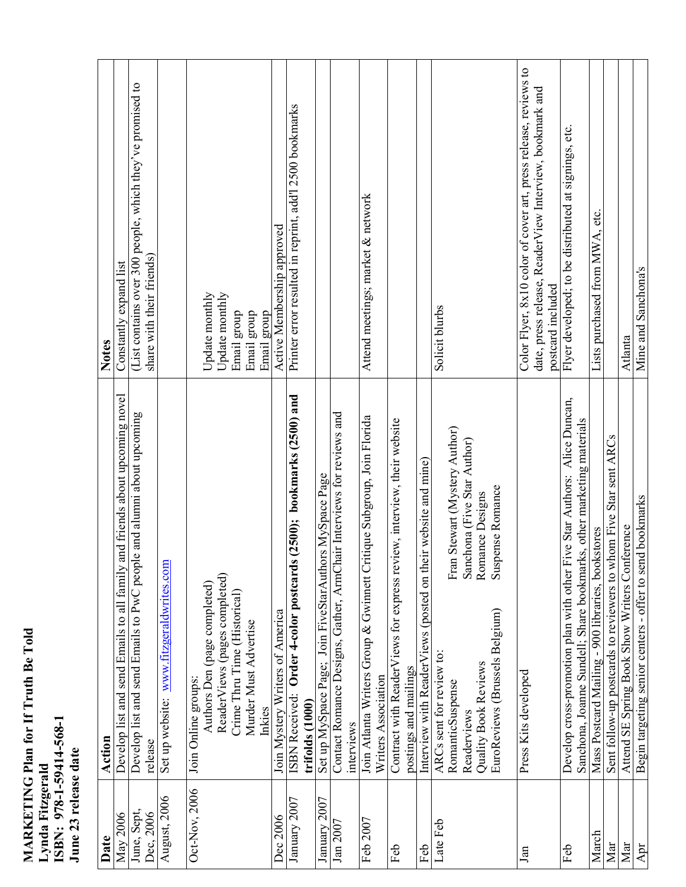| <b>MARKETING Plan for If Truth Be Told</b> |                  |                         |                      |
|--------------------------------------------|------------------|-------------------------|----------------------|
|                                            | Lynda Fitzgerald | ISBN: 978-1-59414-568-1 | June 23 release date |

| Date                     | Action                                                                         | <b>Notes</b>                                                                           |
|--------------------------|--------------------------------------------------------------------------------|----------------------------------------------------------------------------------------|
| May 2006                 | and friends about upcoming novel<br>Develop list and send Emails to all family | Constantly expand list                                                                 |
| June, Sept,<br>Dec, 2006 | Develop list and send Emails to PwC people and alumni about upcoming           | (List contains over 300 people, which they've promised to<br>share with their friends) |
|                          | release                                                                        |                                                                                        |
| August, 2006             | Set up website: www.fitzgeraldwrites.com                                       |                                                                                        |
| Oct-Nov, 2006            | Join Online groups:                                                            |                                                                                        |
|                          | Authors Den (page completed)                                                   | Update monthly                                                                         |
|                          | ReaderViews (pages completed)                                                  | Update monthly                                                                         |
|                          | Crime Thru Time (Historical)                                                   | Email group                                                                            |
|                          | Murder Must Advertise                                                          | Email group                                                                            |
|                          | Inkies                                                                         | Email group                                                                            |
| Dec 2006                 | Join Mystery Writers of America                                                | Active Membership approved                                                             |
| January 2007             | s (2500); bookmarks (2500) and<br>Order 4-color postcard<br>ISBN Received:     | Printer error resulted in reprint, add'l 2500 bookmarks                                |
|                          | trifolds (1000)                                                                |                                                                                        |
| January 2007             | Set up MySpace Page; Join FiveStarAuthors MySpace Page                         |                                                                                        |
| Jan 2007                 | Contact Romance Designs, Gather, ArmChair Interviews for reviews and           |                                                                                        |
|                          | interviews                                                                     |                                                                                        |
| Feb 2007                 | Join Atlanta Writers Group & Gwinnett Critique Subgroup, Join Florida          | Attend meetings; market & network                                                      |
|                          | Writers Association                                                            |                                                                                        |
| Feb                      | Contract with ReaderViews for express review, interview, their website         |                                                                                        |
|                          | postings and mailings                                                          |                                                                                        |
| Feb                      | Interview with ReaderViews (posted on their website and mine)                  |                                                                                        |
| Late Feb                 | ARCs sent for review to:                                                       | Solicit blurbs                                                                         |
|                          | Fran Stewart (Mystery Author)<br>RomanticSuspense                              |                                                                                        |
|                          | Sanchona (Five Star Author)<br>Readerviews                                     |                                                                                        |
|                          | Romance Designs<br>Quality Book Reviews                                        |                                                                                        |
|                          | Suspense Romance<br>EuroReviews (Brussels Belgium)                             |                                                                                        |
| Jan                      | Press Kits developed                                                           | Color Flyer, 8x10 color of cover art, press release, reviews to                        |
|                          |                                                                                | date, press release, ReaderView Interview, bookmark and                                |
|                          |                                                                                | postcard included                                                                      |
| Feb                      | Five Star Authors: Alice Duncan,<br>Develop cross-promotion plan with other    | Flyer developed; to be distributed at signings, etc.                                   |
|                          | Sanchona, Joanne Sundell; Share bookmarks, other marketing materials           |                                                                                        |
| March                    | Mass Postcard Mailing - 900 libraries, bookstores                              | Lists purchased from MWA, etc.                                                         |
| Mar                      | Sent follow-up postcards to reviewers to whom Five Star sent ARCs              |                                                                                        |
| Mar                      | Attend SE Spring Book Show Writers Conference                                  | Atlanta                                                                                |
| Apr                      | Begin targeting senior centers - offer to send bookmarks                       | Mine and Sanchona's                                                                    |